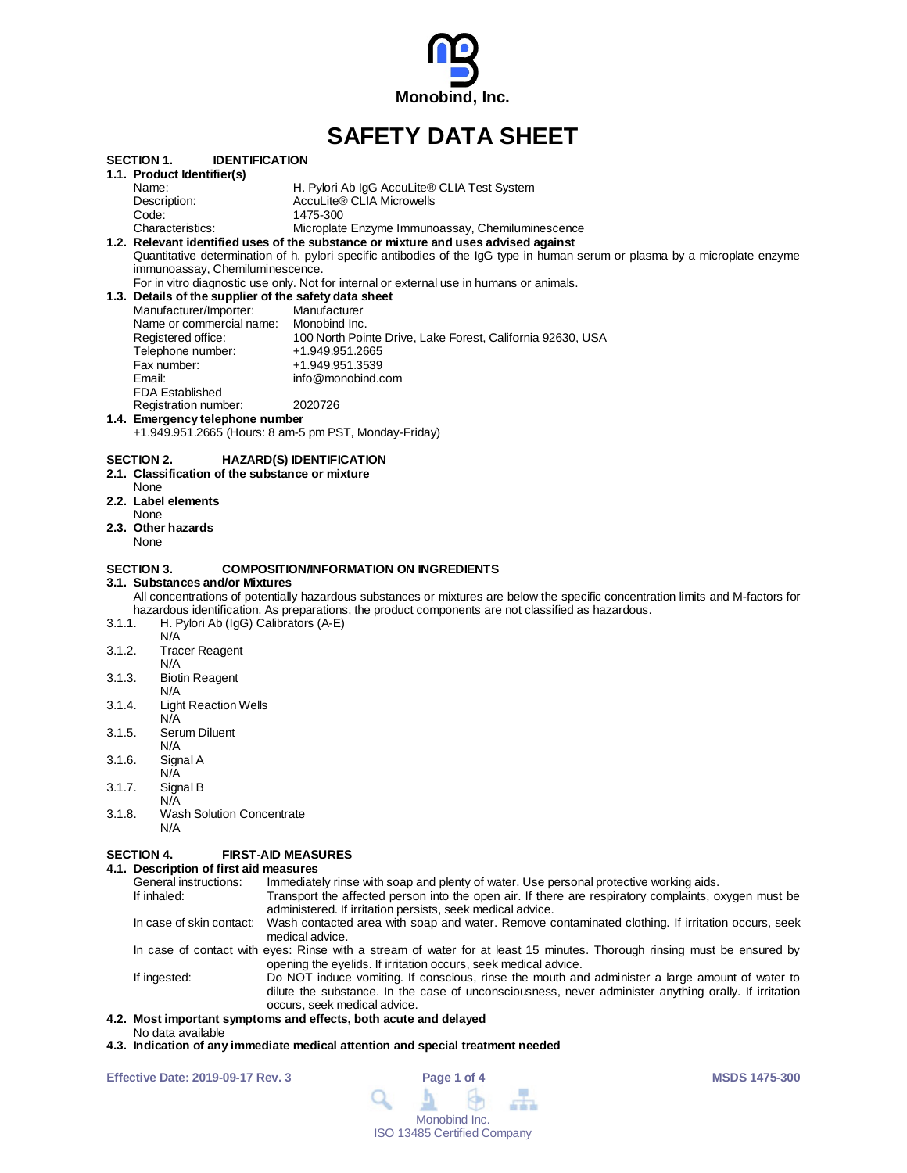

# **SAFETY DATA SHEET**

|        | SECTION 1.<br><b>IDENTIFICATION</b>                   |                                                                                                                                  |  |  |  |
|--------|-------------------------------------------------------|----------------------------------------------------------------------------------------------------------------------------------|--|--|--|
|        | 1.1. Product Identifier(s)                            |                                                                                                                                  |  |  |  |
|        | Name:                                                 | H. Pylori Ab IgG AccuLite® CLIA Test System                                                                                      |  |  |  |
|        | Description:                                          | AccuLite® CLIA Microwells                                                                                                        |  |  |  |
|        | Code:                                                 | 1475-300                                                                                                                         |  |  |  |
|        | Characteristics:                                      | Microplate Enzyme Immunoassay, Chemiluminescence                                                                                 |  |  |  |
|        |                                                       | 1.2. Relevant identified uses of the substance or mixture and uses advised against                                               |  |  |  |
|        |                                                       | Quantitative determination of h. pylori specific antibodies of the IgG type in human serum or plasma by a microplate enzyme      |  |  |  |
|        | immunoassay, Chemiluminescence.                       |                                                                                                                                  |  |  |  |
|        |                                                       | For in vitro diagnostic use only. Not for internal or external use in humans or animals.                                         |  |  |  |
|        | 1.3. Details of the supplier of the safety data sheet |                                                                                                                                  |  |  |  |
|        | Manufacturer/Importer:                                | Manufacturer                                                                                                                     |  |  |  |
|        | Name or commercial name: Monobind Inc.                |                                                                                                                                  |  |  |  |
|        | Registered office:                                    | 100 North Pointe Drive, Lake Forest, California 92630, USA                                                                       |  |  |  |
|        | Telephone number:                                     | +1.949.951.2665                                                                                                                  |  |  |  |
|        | Fax number:                                           | +1.949.951.3539                                                                                                                  |  |  |  |
|        | Email:                                                | info@monobind.com                                                                                                                |  |  |  |
|        | <b>FDA Established</b>                                |                                                                                                                                  |  |  |  |
|        | Registration number:                                  | 2020726                                                                                                                          |  |  |  |
|        | 1.4. Emergency telephone number                       |                                                                                                                                  |  |  |  |
|        |                                                       | +1.949.951.2665 (Hours: 8 am-5 pm PST, Monday-Friday)                                                                            |  |  |  |
|        |                                                       |                                                                                                                                  |  |  |  |
|        | SECTION 2.                                            | <b>HAZARD(S) IDENTIFICATION</b>                                                                                                  |  |  |  |
|        | 2.1. Classification of the substance or mixture       |                                                                                                                                  |  |  |  |
|        | None                                                  |                                                                                                                                  |  |  |  |
|        | 2.2. Label elements                                   |                                                                                                                                  |  |  |  |
|        | None                                                  |                                                                                                                                  |  |  |  |
|        | 2.3. Other hazards                                    |                                                                                                                                  |  |  |  |
|        | None                                                  |                                                                                                                                  |  |  |  |
|        |                                                       |                                                                                                                                  |  |  |  |
|        | <b>SECTION 3.</b>                                     | <b>COMPOSITION/INFORMATION ON INGREDIENTS</b>                                                                                    |  |  |  |
|        | 3.1. Substances and/or Mixtures                       |                                                                                                                                  |  |  |  |
|        |                                                       | All concentrations of potentially hazardous substances or mixtures are below the specific concentration limits and M-factors for |  |  |  |
|        |                                                       | hazardous identification. As preparations, the product components are not classified as hazardous.                               |  |  |  |
| 3.1.1. | H. Pylori Ab (IgG) Calibrators (A-E)                  |                                                                                                                                  |  |  |  |
|        | N/A                                                   |                                                                                                                                  |  |  |  |
| 3.1.2. | <b>Tracer Reagent</b>                                 |                                                                                                                                  |  |  |  |
|        | N/A                                                   |                                                                                                                                  |  |  |  |
| 3.1.3. |                                                       |                                                                                                                                  |  |  |  |
|        | <b>Biotin Reagent</b>                                 |                                                                                                                                  |  |  |  |
|        | N/A                                                   |                                                                                                                                  |  |  |  |
| 3.1.4. | <b>Light Reaction Wells</b>                           |                                                                                                                                  |  |  |  |
|        | N/A                                                   |                                                                                                                                  |  |  |  |
| 3.1.5. | Serum Diluent                                         |                                                                                                                                  |  |  |  |
|        | N/A                                                   |                                                                                                                                  |  |  |  |
| 3.1.6. | Signal A                                              |                                                                                                                                  |  |  |  |
|        | N/A                                                   |                                                                                                                                  |  |  |  |
| 3.1.7. | Signal B                                              |                                                                                                                                  |  |  |  |
|        | N/A                                                   |                                                                                                                                  |  |  |  |
| 3.1.8. | <b>Wash Solution Concentrate</b>                      |                                                                                                                                  |  |  |  |
|        | N/A                                                   |                                                                                                                                  |  |  |  |
|        |                                                       |                                                                                                                                  |  |  |  |
|        | <b>SECTION 4.</b>                                     | <b>FIRST-AID MEASURES</b>                                                                                                        |  |  |  |
|        | 4.1. Description of first aid measures                |                                                                                                                                  |  |  |  |
|        | General instructions:                                 | Immediately rinse with soap and plenty of water. Use personal protective working aids.                                           |  |  |  |
|        | If inhaled:                                           | Transport the affected person into the open air. If there are respiratory complaints, oxygen must be                             |  |  |  |
|        |                                                       | administered. If irritation persists, seek medical advice.                                                                       |  |  |  |

In case of skin contact: Wash contacted area with soap and water. Remove contaminated clothing. If irritation occurs, seek medical advice.

In case of contact with eyes: Rinse with a stream of water for at least 15 minutes. Thorough rinsing must be ensured by opening the eyelids. If irritation occurs, seek medical advice.

If ingested: Do NOT induce vomiting. If conscious, rinse the mouth and administer a large amount of water to dilute the substance. In the case of unconsciousness, never administer anything orally. If irritation occurs, seek medical advice.

# **4.2. Most important symptoms and effects, both acute and delayed**

- No data available
- **4.3. Indication of any immediate medical attention and special treatment needed**

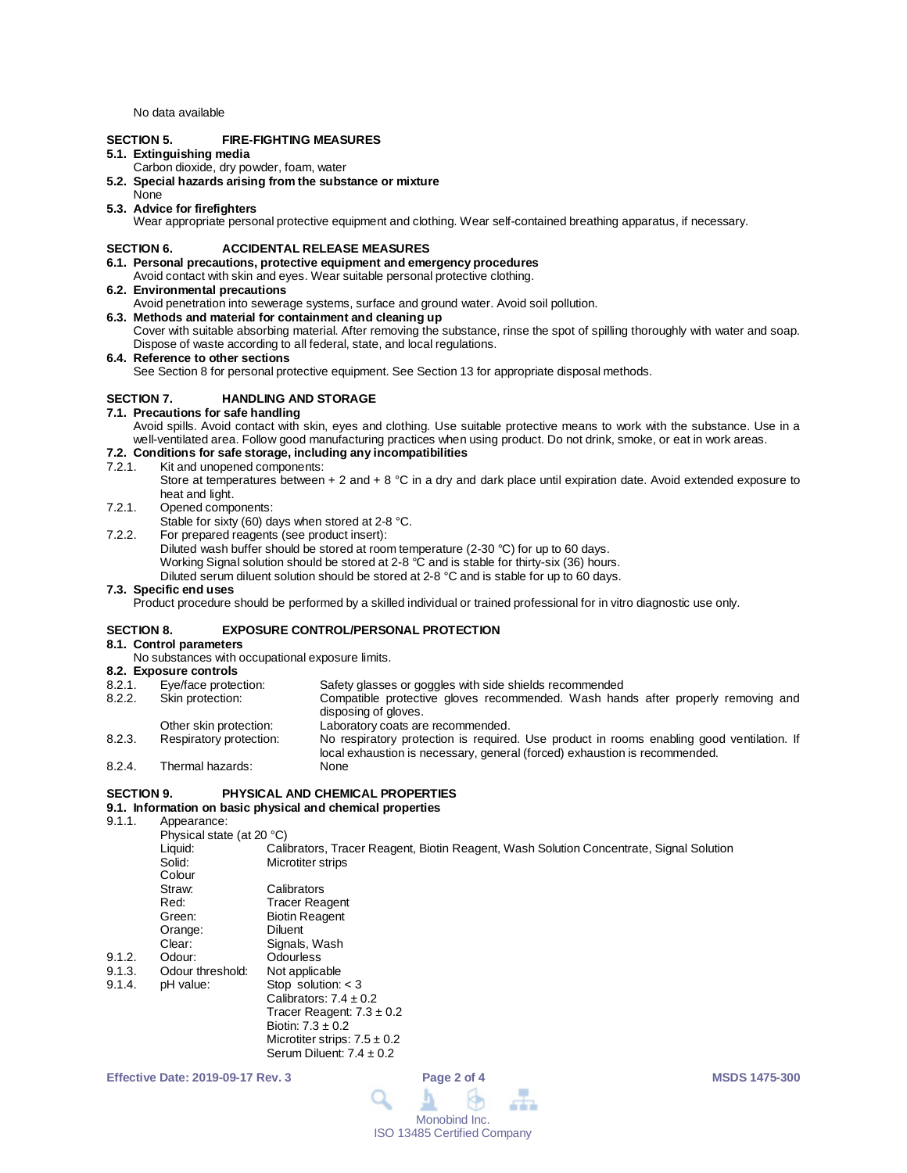No data available

# **SECTION 5. FIRE-FIGHTING MEASURES**

# **5.1. Extinguishing media**

- Carbon dioxide, dry powder, foam, water
- **5.2. Special hazards arising from the substance or mixture**
- None

# **5.3. Advice for firefighters**

Wear appropriate personal protective equipment and clothing. Wear self-contained breathing apparatus, if necessary.

## **SECTION 6. ACCIDENTAL RELEASE MEASURES**

- **6.1. Personal precautions, protective equipment and emergency procedures** Avoid contact with skin and eyes. Wear suitable personal protective clothing.
- **6.2. Environmental precautions**
- Avoid penetration into sewerage systems, surface and ground water. Avoid soil pollution.

## **6.3. Methods and material for containment and cleaning up**

Cover with suitable absorbing material. After removing the substance, rinse the spot of spilling thoroughly with water and soap. Dispose of waste according to all federal, state, and local regulations.

#### **6.4. Reference to other sections**

See Section 8 for personal protective equipment. See Section 13 for appropriate disposal methods.

# **SECTION 7. HANDLING AND STORAGE**

## **7.1. Precautions for safe handling**

Avoid spills. Avoid contact with skin, eyes and clothing. Use suitable protective means to work with the substance. Use in a well-ventilated area. Follow good manufacturing practices when using product. Do not drink, smoke, or eat in work areas.

# **7.2. Conditions for safe storage, including any incompatibilities**

- Kit and unopened components:
	- Store at temperatures between + 2 and + 8 °C in a dry and dark place until expiration date. Avoid extended exposure to heat and light.
- 7.2.1. Opened components:

Stable for sixty (60) days when stored at 2-8 °C.

- 7.2.2. For prepared reagents (see product insert):
	- Diluted wash buffer should be stored at room temperature (2-30 °C) for up to 60 days.
	- Working Signal solution should be stored at 2-8 °C and is stable for thirty-six (36) hours.

Diluted serum diluent solution should be stored at 2-8 °C and is stable for up to 60 days.

#### **7.3. Specific end uses**

Product procedure should be performed by a skilled individual or trained professional for in vitro diagnostic use only.

# **SECTION 8. EXPOSURE CONTROL/PERSONAL PROTECTION**

# **8.1. Control parameters**

- No substances with occupational exposure limits.
- **8.2. Exposure controls**
- Eye/face protection: Safety glasses or goggles with side shields recommended<br>Skin protection: Compatible protective gloves recommended. Wash han
- 8.2.2. Skin protection: Compatible protective gloves recommended. Wash hands after properly removing and disposing of gloves.
- Other skin protection:<br>
Respiratory protection: 
No respiratory protection is required 8.2.3. Respiratory protection: No respiratory protection is required. Use product in rooms enabling good ventilation. If local exhaustion is necessary, general (forced) exhaustion is recommended. 8.2.4. Thermal hazards:

#### **SECTION 9. PHYSICAL AND CHEMICAL PROPERTIES**

# **9.1. Information on basic physical and chemical properties**

Appearance:

|        | Physical state (at 20 °C) |                                                                                         |  |  |
|--------|---------------------------|-----------------------------------------------------------------------------------------|--|--|
|        | Liquid:                   | Calibrators, Tracer Reagent, Biotin Reagent, Wash Solution Concentrate, Signal Solution |  |  |
|        | Solid:                    | Microtiter strips                                                                       |  |  |
|        | Colour                    |                                                                                         |  |  |
|        | Straw:                    | Calibrators                                                                             |  |  |
|        | Red:                      | <b>Tracer Reagent</b>                                                                   |  |  |
|        | Green:                    | <b>Biotin Reagent</b>                                                                   |  |  |
|        | Orange:                   | <b>Diluent</b>                                                                          |  |  |
|        | Clear:                    | Signals, Wash                                                                           |  |  |
| 9.1.2. | Odour:                    | Odourless                                                                               |  |  |
| 9.1.3. | Odour threshold:          | Not applicable                                                                          |  |  |
| 9.1.4. | pH value:                 | Stop solution: $<$ 3                                                                    |  |  |
|        |                           | Calibrators: $7.4 \pm 0.2$                                                              |  |  |
|        |                           | Tracer Reagent: $7.3 \pm 0.2$                                                           |  |  |
|        |                           | Biotin: $7.3 \pm 0.2$                                                                   |  |  |
|        |                           | Microtiter strips: $7.5 \pm 0.2$                                                        |  |  |
|        |                           | Serum Diluent: $7.4 \pm 0.2$                                                            |  |  |

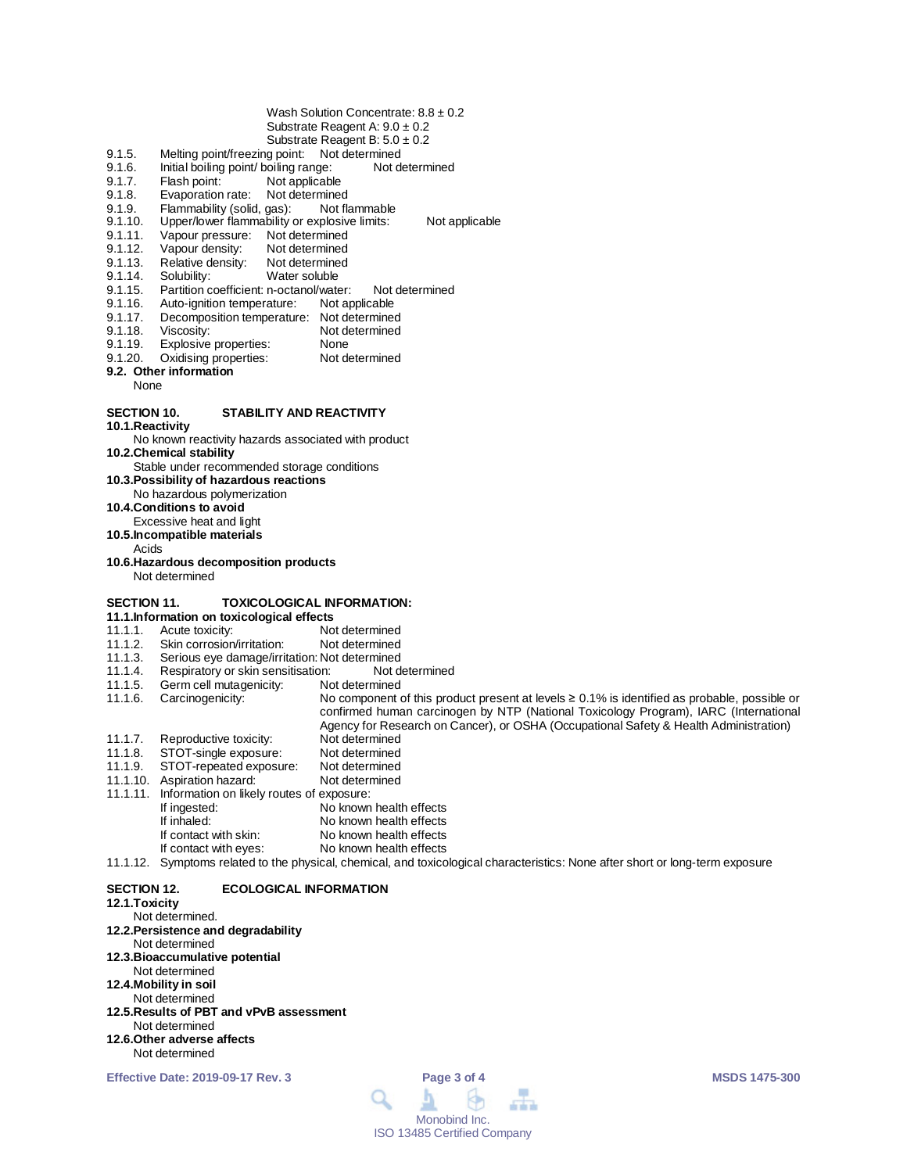- Wash Solution Concentrate:  $8.8 \pm 0.2$ Substrate Reagent A: 9.0 ± 0.2
- Substrate Reagent B:  $5.0 \pm 0.2$
- 9.1.5. Melting point/freezing point: Not determined
- 9.1.6. Initial boiling point/ boiling range: Not determined<br>9.1.7. Flash point: Not applicable
- 9.1.7. Flash point: Not applicable<br>9.1.8. Evaporation rate: Not determine
- 
- 9.1.8. Evaporation rate: Not determined<br>9.1.9. Flammability (solid. gas): Not flammable 9.1.9. Flammability (solid, gas):<br>9.1.10. Upper/lower flammability
- 9.1.10. Upper/lower flammability or explosive limits: Not applicable<br>9.1.11. Vapour pressure: Not determined
- 9.1.11. Vapour pressure: Not determined<br>9.1.12. Vapour density: Not determined
- 9.1.12. Vapour density: Not determined<br>9.1.13. Relative density: Not determined
- 9.1.13. Relative density:<br>9.1.14. Solubility:
- 9.1.14. Solubility: Water soluble<br>9.1.15. Partition coefficient: n-octanol/wate
- 9.1.15. Partition coefficient: n-octanol/water: Not determined<br>9.1.16. Auto-ignition temperature: Not applicable
- 9.1.16. Auto-ignition temperature:<br>9.1.17. Decomposition temperature
- 9.1.17. Decomposition temperature: Not determined<br>9.1.18. Viscosity: Not determined
- 9.1.18. Viscosity: Not determined<br>9.1.19. Explosive properties: None
- 9.1.19. Explosive properties: None<br>9.1.20. Oxidising properties: Not determined
- Oxidising properties:
- **9.2. Other information** None

# **SECTION 10. STABILITY AND REACTIVITY**

**10.1.Reactivity**

No known reactivity hazards associated with product

**10.2.Chemical stability**

Stable under recommended storage conditions

**10.3.Possibility of hazardous reactions**

No hazardous polymerization

**10.4.Conditions to avoid**

Excessive heat and light

**10.5.Incompatible materials**

Acids

**10.6.Hazardous decomposition products** Not determined

# **SECTION 11. TOXICOLOGICAL INFORMATION:**

- **11.1.Information on toxicological effects**
- 11.1.1. Acute toxicity: Not determined<br>11.1.2. Skin corrosion/irritation: Not determined
- 11.1.2. Skin corrosion/irritation:<br>11.1.3. Serious eye damage/irrit
- Serious eye damage/irritation: Not determined<br>Respiratory or skin sensitisation: Not determined
- 11.1.4. Respiratory or skin sensitisation: Not determined Germ cell mutagenicity:
- 
- 11.1.6. Carcinogenicity: No component of this product present at levels ≥ 0.1% is identified as probable, possible or confirmed human carcinogen by NTP (National Toxicology Program), IARC (International Agency for Research on Cancer), or OSHA (Occupational Safety & Health Administration) 11.1.7. Reproductive toxicity: Not determined<br>11.1.8. STOT-single exposure: Not determined
- 
- 11.1.8. STOT-single exposure: Not determined<br>11.1.9. STOT-repeated exposure: Not determined STOT-repeated exposure: Not determined<br>Aspiration hazard: Not determined
- 11.1.10. Aspiration hazard:
- 11.1.11. Information on likely routes of exposure:
- If ingested: No known health effects<br>
If inhaled: No known health effects If inhaled: No known health effects<br>If contact with skin: No known health effects If contact with skin: No known health effects<br>If contact with eyes: No known health effects
	- No known health effects
- 11.1.12. Symptoms related to the physical, chemical, and toxicological characteristics: None after short or long-term exposure

## **SECTION 12. ECOLOGICAL INFORMATION**

# **12.1.Toxicity**

- Not determined. **12.2.Persistence and degradability** Not determined **12.3.Bioaccumulative potential** Not determined **12.4.Mobility in soil** Not determined **12.5.Results of PBT and vPvB assessment** Not determined **12.6.Other adverse affects**
- Not determined